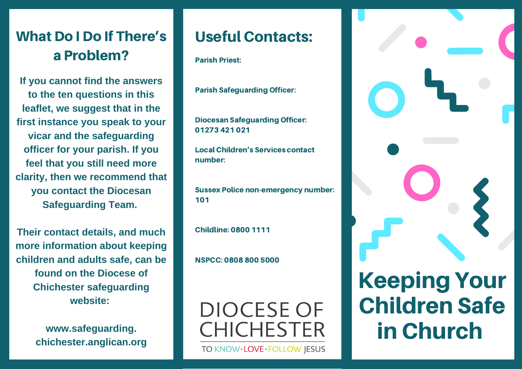## What Do I Do If There's a Problem?

**If you cannot find the answers to the ten questions in this leaflet, we suggest that in the first instance you speak to your vicar and the safeguarding officer for your parish. If you feel that you still need more clarity, then we recommend that you contact the Diocesan Safeguarding Team.**

**Their contact details, and much more information about keeping children and adults safe, can be found on the Diocese of Chichester safeguarding website:**

> **www.safeguarding. chichester.anglican.org**

## Useful Contacts:

Parish Priest:

Parish Safeguarding Officer:

Diocesan Safeguarding Officer: 01273 421 021

Local Children's Services contact number:

Sussex Police non-emergency number: 101

Childline: 0800 1111

NSPCC: 0808 800 5000

**DIOCESE OF CHICHESTER** 

TO KNOW·LOVE·FOLLOW JESUS

Keeping Your Children Safe in Church